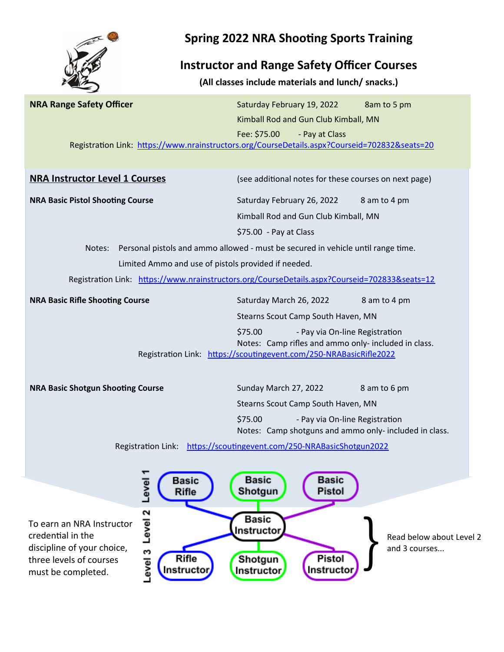

## **Spring 2022 NRA Shooting Sports Training**

## **Instructor and Range Safety Officer Courses**

**(All classes include materials and lunch/ snacks.)**

| <b>NRA Range Safety Officer</b>                                          | Saturday February 19, 2022<br>8am to 5 pm<br>Kimball Rod and Gun Club Kimball, MN             |
|--------------------------------------------------------------------------|-----------------------------------------------------------------------------------------------|
|                                                                          | Fee: \$75.00<br>- Pay at Class                                                                |
|                                                                          | Registration Link: https://www.nrainstructors.org/CourseDetails.aspx?Courseid=702832&seats=20 |
|                                                                          |                                                                                               |
| <b>NRA Instructor Level 1 Courses</b>                                    | (see additional notes for these courses on next page)                                         |
| <b>NRA Basic Pistol Shooting Course</b>                                  | Saturday February 26, 2022<br>8 am to 4 pm                                                    |
|                                                                          | Kimball Rod and Gun Club Kimball, MN                                                          |
|                                                                          | \$75.00 - Pay at Class                                                                        |
| Notes:                                                                   | Personal pistols and ammo allowed - must be secured in vehicle until range time.              |
| Limited Ammo and use of pistols provided if needed.                      |                                                                                               |
|                                                                          | Registration Link: https://www.nrainstructors.org/CourseDetails.aspx?Courseid=702833&seats=12 |
| <b>NRA Basic Rifle Shooting Course</b>                                   | Saturday March 26, 2022<br>8 am to 4 pm                                                       |
|                                                                          | Stearns Scout Camp South Haven, MN                                                            |
|                                                                          | \$75.00<br>- Pay via On-line Registration                                                     |
|                                                                          | Notes: Camp rifles and ammo only- included in class.                                          |
|                                                                          | Registration Link: https://scoutingevent.com/250-NRABasicRifle2022                            |
| <b>NRA Basic Shotgun Shooting Course</b>                                 | Sunday March 27, 2022<br>8 am to 6 pm                                                         |
|                                                                          | Stearns Scout Camp South Haven, MN                                                            |
|                                                                          | \$75.00<br>- Pay via On-line Registration                                                     |
|                                                                          | Notes: Camp shotguns and ammo only- included in class.                                        |
|                                                                          | Registration Link: https://scoutingevent.com/250-NRABasicShotgun2022                          |
|                                                                          |                                                                                               |
| Basic                                                                    | <b>Basic</b><br><b>Basic</b>                                                                  |
| Level<br>Rifle                                                           | Pistol<br>Shotgun                                                                             |
|                                                                          |                                                                                               |
| Level 2<br>To earn an NRA Instructor                                     | <b>Basic</b><br>Instructor                                                                    |
| credential in the                                                        | Read below about Level 2                                                                      |
| discipline of your choice,<br>evel 3<br>Rifle<br>three levels of courses | and 3 courses<br>Pistol<br>Shotgun                                                            |
| Instructor<br>must be completed.                                         | Instructor<br>Instructor                                                                      |